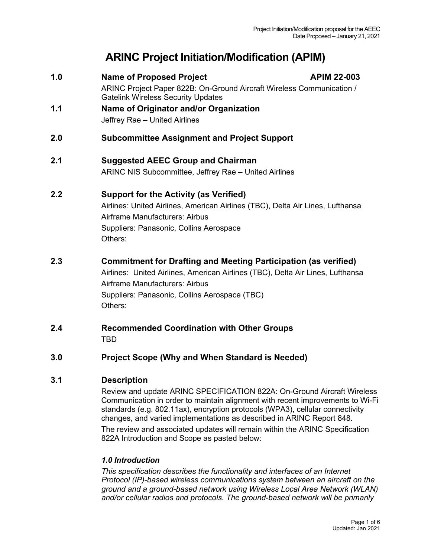# **ARINC Project Initiation/Modification (APIM)**

- **1.0 Name of Proposed Project APIM 22-003** ARINC Project Paper 822B: On-Ground Aircraft Wireless Communication / Gatelink Wireless Security Updates
- **1.1 Name of Originator and/or Organization** Jeffrey Rae – United Airlines
- **2.0 Subcommittee Assignment and Project Support**
- **2.1 Suggested AEEC Group and Chairman** ARINC NIS Subcommittee, Jeffrey Rae – United Airlines

## **2.2 Support for the Activity (as Verified)**

Airlines: United Airlines, American Airlines (TBC), Delta Air Lines, Lufthansa Airframe Manufacturers: Airbus Suppliers: Panasonic, Collins Aerospace Others:

# **2.3 Commitment for Drafting and Meeting Participation (as verified)**

Airlines: United Airlines, American Airlines (TBC), Delta Air Lines, Lufthansa Airframe Manufacturers: Airbus Suppliers: Panasonic, Collins Aerospace (TBC) Others:

**2.4 Recommended Coordination with Other Groups** TBD

## **3.0 Project Scope (Why and When Standard is Needed)**

822A Introduction and Scope as pasted below:

## **3.1 Description**

Review and update ARINC SPECIFICATION 822A: On-Ground Aircraft Wireless Communication in order to maintain alignment with recent improvements to Wi-Fi standards (e.g. 802.11ax), encryption protocols (WPA3), cellular connectivity changes, and varied implementations as described in ARINC Report 848. The review and associated updates will remain within the ARINC Specification

*1.0 Introduction* 

*This specification describes the functionality and interfaces of an Internet Protocol (IP)-based wireless communications system between an aircraft on the ground and a ground-based network using Wireless Local Area Network (WLAN) and/or cellular radios and protocols. The ground-based network will be primarily*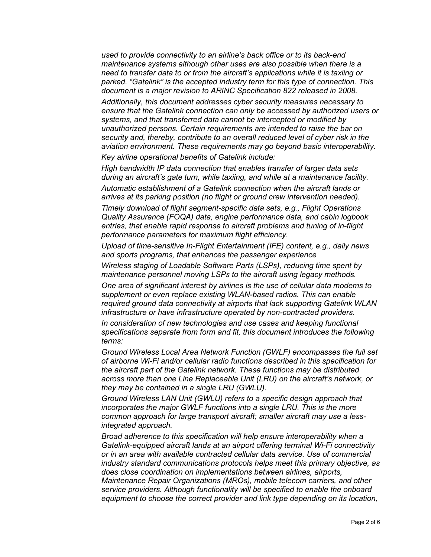*used to provide connectivity to an airline's back office or to its back-end maintenance systems although other uses are also possible when there is a need to transfer data to or from the aircraft's applications while it is taxiing or parked. "Gatelink" is the accepted industry term for this type of connection. This document is a major revision to ARINC Specification 822 released in 2008.*

*Additionally, this document addresses cyber security measures necessary to ensure that the Gatelink connection can only be accessed by authorized users or systems, and that transferred data cannot be intercepted or modified by unauthorized persons. Certain requirements are intended to raise the bar on security and, thereby, contribute to an overall reduced level of cyber risk in the aviation environment. These requirements may go beyond basic interoperability.*

*Key airline operational benefits of Gatelink include:*

*High bandwidth IP data connection that enables transfer of larger data sets during an aircraft's gate turn, while taxiing, and while at a maintenance facility.*

*Automatic establishment of a Gatelink connection when the aircraft lands or arrives at its parking position (no flight or ground crew intervention needed).*

*Timely download of flight segment-specific data sets, e.g., Flight Operations Quality Assurance (FOQA) data, engine performance data, and cabin logbook entries, that enable rapid response to aircraft problems and tuning of in-flight performance parameters for maximum flight efficiency.* 

*Upload of time-sensitive In-Flight Entertainment (IFE) content, e.g., daily news and sports programs, that enhances the passenger experience*

*Wireless staging of Loadable Software Parts (LSPs), reducing time spent by maintenance personnel moving LSPs to the aircraft using legacy methods.*

*One area of significant interest by airlines is the use of cellular data modems to supplement or even replace existing WLAN-based radios. This can enable required ground data connectivity at airports that lack supporting Gatelink WLAN infrastructure or have infrastructure operated by non-contracted providers.*

*In consideration of new technologies and use cases and keeping functional specifications separate from form and fit, this document introduces the following terms:*

*Ground Wireless Local Area Network Function (GWLF) encompasses the full set of airborne Wi-Fi and/or cellular radio functions described in this specification for the aircraft part of the Gatelink network. These functions may be distributed across more than one Line Replaceable Unit (LRU) on the aircraft's network, or they may be contained in a single LRU (GWLU).*

*Ground Wireless LAN Unit (GWLU) refers to a specific design approach that incorporates the major GWLF functions into a single LRU. This is the more common approach for large transport aircraft; smaller aircraft may use a lessintegrated approach.*

*Broad adherence to this specification will help ensure interoperability when a Gatelink-equipped aircraft lands at an airport offering terminal Wi-Fi connectivity or in an area with available contracted cellular data service. Use of commercial industry standard communications protocols helps meet this primary objective, as does close coordination on implementations between airlines, airports, Maintenance Repair Organizations (MROs), mobile telecom carriers, and other service providers. Although functionality will be specified to enable the onboard equipment to choose the correct provider and link type depending on its location,*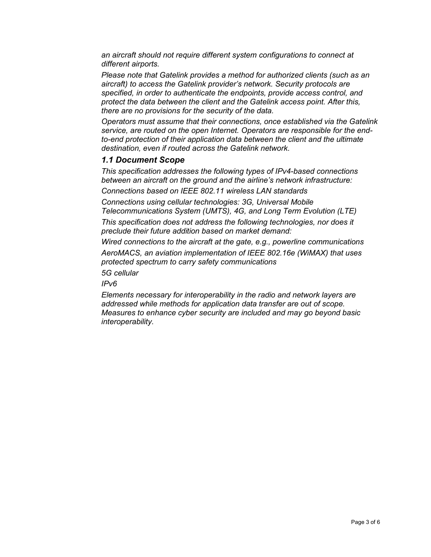*an aircraft should not require different system configurations to connect at different airports.*

*Please note that Gatelink provides a method for authorized clients (such as an aircraft) to access the Gatelink provider's network. Security protocols are specified, in order to authenticate the endpoints, provide access control, and protect the data between the client and the Gatelink access point. After this, there are no provisions for the security of the data.* 

*Operators must assume that their connections, once established via the Gatelink service, are routed on the open Internet. Operators are responsible for the endto-end protection of their application data between the client and the ultimate destination, even if routed across the Gatelink network.*

#### *1.1 Document Scope*

*This specification addresses the following types of IPv4-based connections between an aircraft on the ground and the airline's network infrastructure:*

*Connections based on IEEE 802.11 wireless LAN standards*

*Connections using cellular technologies: 3G, Universal Mobile Telecommunications System (UMTS), 4G, and Long Term Evolution (LTE)*

*This specification does not address the following technologies, nor does it preclude their future addition based on market demand:*

*Wired connections to the aircraft at the gate, e.g., powerline communications AeroMACS, an aviation implementation of IEEE 802.16e (WiMAX) that uses protected spectrum to carry safety communications*

*5G cellular*

*IPv6*

*Elements necessary for interoperability in the radio and network layers are addressed while methods for application data transfer are out of scope. Measures to enhance cyber security are included and may go beyond basic interoperability.*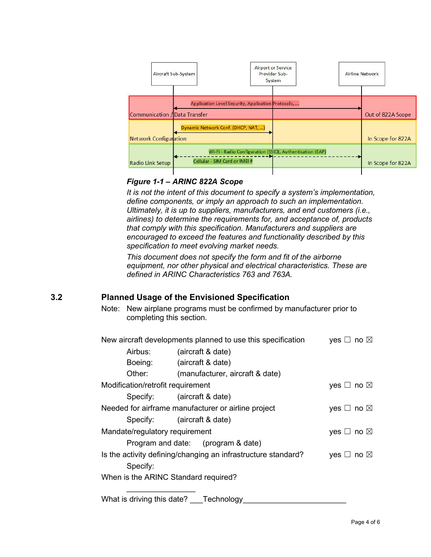

#### *Figure 1-1 – ARINC 822A Scope*

*It is not the intent of this document to specify a system's implementation, define components, or imply an approach to such an implementation. Ultimately, it is up to suppliers, manufacturers, and end customers (i.e., airlines) to determine the requirements for, and acceptance of, products that comply with this specification. Manufacturers and suppliers are encouraged to exceed the features and functionality described by this specification to meet evolving market needs.*

*This document does not specify the form and fit of the airborne equipment, nor other physical and electrical characteristics. These are defined in ARINC Characteristics 763 and 763A.*

## **3.2 Planned Usage of the Envisioned Specification**

Note: New airplane programs must be confirmed by manufacturer prior to completing this section.

| New aircraft developments planned to use this specification   | yes $\Box$ no $\boxtimes$          |                           |  |  |
|---------------------------------------------------------------|------------------------------------|---------------------------|--|--|
| Airbus:                                                       | (aircraft & date)                  |                           |  |  |
| Boeing:                                                       | (aircraft & date)                  |                           |  |  |
| Other:                                                        | (manufacturer, aircraft & date)    |                           |  |  |
| Modification/retrofit requirement                             |                                    | yes $\Box$ no $\boxtimes$ |  |  |
|                                                               | Specify: (aircraft & date)         |                           |  |  |
| Needed for airframe manufacturer or airline project           |                                    | yes $\Box$ no $\boxtimes$ |  |  |
|                                                               | Specify: (aircraft & date)         |                           |  |  |
| Mandate/regulatory requirement                                |                                    | yes $\Box$ no $\boxtimes$ |  |  |
|                                                               | Program and date: (program & date) |                           |  |  |
| Is the activity defining/changing an infrastructure standard? |                                    | yes $\Box$ no $\boxtimes$ |  |  |
| Specify:                                                      |                                    |                           |  |  |
| When is the ARINC Standard required?                          |                                    |                           |  |  |
|                                                               |                                    |                           |  |  |

What is driving this date? Technology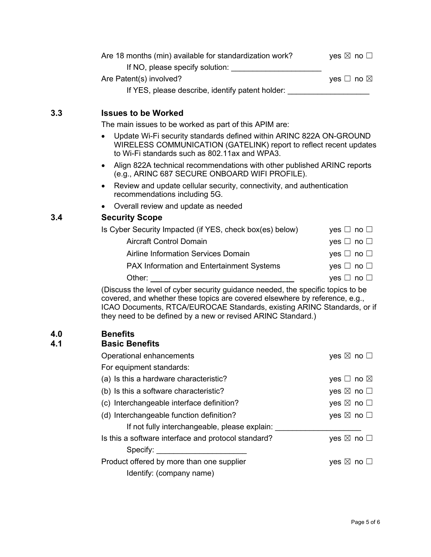| Are 18 months (min) available for standardization work? | yes $\boxtimes$ no $\Box$ |
|---------------------------------------------------------|---------------------------|
| If NO, please specify solution:                         |                           |
| Are Patent(s) involved?                                 | yes $\Box$ no $\boxtimes$ |
| If YES, please describe, identify patent holder:        |                           |

#### **3.3 Issues to be Worked**

The main issues to be worked as part of this APIM are:

- Update Wi-Fi security standards defined within ARINC 822A ON-GROUND WIRELESS COMMUNICATION (GATELINK) report to reflect recent updates to Wi-Fi standards such as 802.11ax and WPA3.
- Align 822A technical recommendations with other published ARINC reports (e.g., ARINC 687 SECURE ONBOARD WIFI PROFILE).
- Review and update cellular security, connectivity, and authentication recommendations including 5G.
- Overall review and update as needed

## **3.4 Security Scope**

| Is Cyber Security Impacted (if YES, check box(es) below) | yes $\Box$ no $\Box$ |
|----------------------------------------------------------|----------------------|
| <b>Aircraft Control Domain</b>                           | yes $\Box$ no $\Box$ |
| Airline Information Services Domain                      | yes $\Box$ no $\Box$ |
| <b>PAX Information and Entertainment Systems</b>         | yes $\Box$ no $\Box$ |
| Other:                                                   | yes $\Box$ no $\Box$ |

(Discuss the level of cyber security guidance needed, the specific topics to be covered, and whether these topics are covered elsewhere by reference, e.g., ICAO Documents, RTCA/EUROCAE Standards, existing ARINC Standards, or if they need to be defined by a new or revised ARINC Standard.)

## **4.0 Benefits**

#### **4.1 Basic Benefits**

| Operational enhancements                            | yes $\boxtimes$ no $\square$ |
|-----------------------------------------------------|------------------------------|
| For equipment standards:                            |                              |
| (a) Is this a hardware characteristic?              | yes $\Box$ no $\boxtimes$    |
| (b) Is this a software characteristic?              | yes $\boxtimes$ no $\square$ |
| (c) Interchangeable interface definition?           | yes $\boxtimes$ no $\square$ |
| (d) Interchangeable function definition?            | yes $\boxtimes$ no $\square$ |
| If not fully interchangeable, please explain:       |                              |
| Is this a software interface and protocol standard? | yes $\boxtimes$ no $\Box$    |
| Specify: <b>Specify:</b>                            |                              |
| Product offered by more than one supplier           | yes $\boxtimes$ no $\Box$    |
| Identify: (company name)                            |                              |